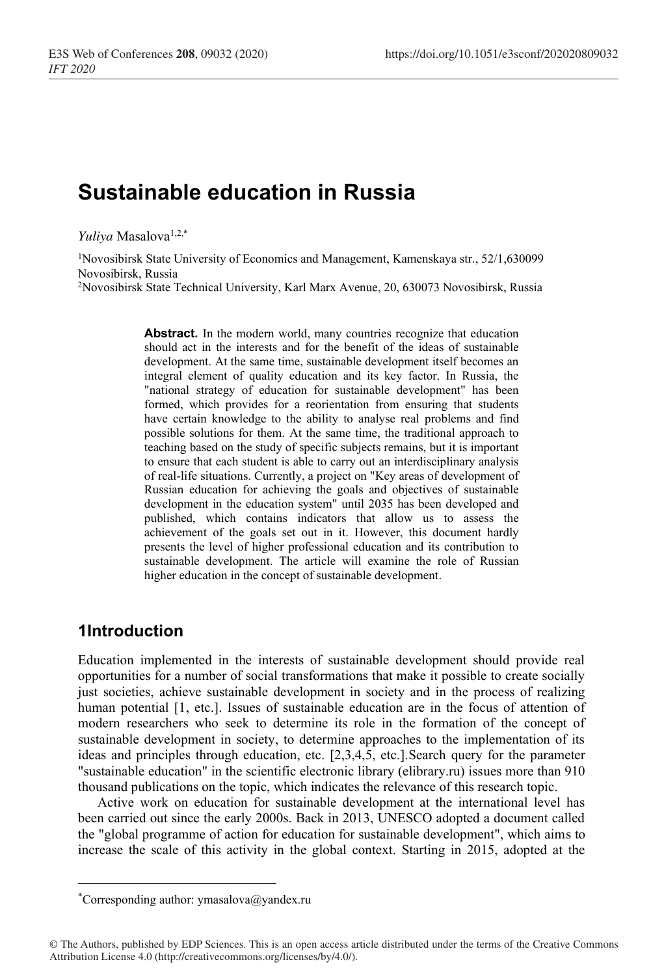# **Sustainable education in Russia**

*Yuliya* Masalova1,2,\*

1Novosibirsk State University of Economics and Management, Kamenskaya str., 52/1,630099 Novosibirsk, Russia

2Novosibirsk State Technical University, Karl Marx Avenue, 20, 630073 Novosibirsk, Russia

Abstract. In the modern world, many countries recognize that education should act in the interests and for the benefit of the ideas of sustainable development. At the same time, sustainable development itself becomes an integral element of quality education and its key factor. In Russia, the "national strategy of education for sustainable development" has been formed, which provides for a reorientation from ensuring that students have certain knowledge to the ability to analyse real problems and find possible solutions for them. At the same time, the traditional approach to teaching based on the study of specific subjects remains, but it is important to ensure that each student is able to carry out an interdisciplinary analysis of real-life situations. Currently, a project on "Key areas of development of Russian education for achieving the goals and objectives of sustainable development in the education system" until 2035 has been developed and published, which contains indicators that allow us to assess the achievement of the goals set out in it. However, this document hardly presents the level of higher professional education and its contribution to sustainable development. The article will examine the role of Russian higher education in the concept of sustainable development.

### **1Introduction**

Education implemented in the interests of sustainable development should provide real opportunities for a number of social transformations that make it possible to create socially just societies, achieve sustainable development in society and in the process of realizing human potential [1, etc.]. Issues of sustainable education are in the focus of attention of modern researchers who seek to determine its role in the formation of the concept of sustainable development in society, to determine approaches to the implementation of its ideas and principles through education, etc. [2,3,4,5, etc.].Search query for the parameter "sustainable education" in the scientific electronic library (elibrary.ru) issues more than 910 thousand publications on the topic, which indicates the relevance of this research topic.

Active work on education for sustainable development at the international level has been carried out since the early 2000s. Back in 2013, UNESCO adopted a document called the "global programme of action for education for sustainable development", which aims to increase the scale of this activity in the global context. Starting in 2015, adopted at the

<sup>\*</sup> Corresponding author: ymasalova@yandex.ru

<sup>©</sup> The Authors, published by EDP Sciences. This is an open access article distributed under the terms of the Creative Commons Attribution License 4.0 (http://creativecommons.org/licenses/by/4.0/).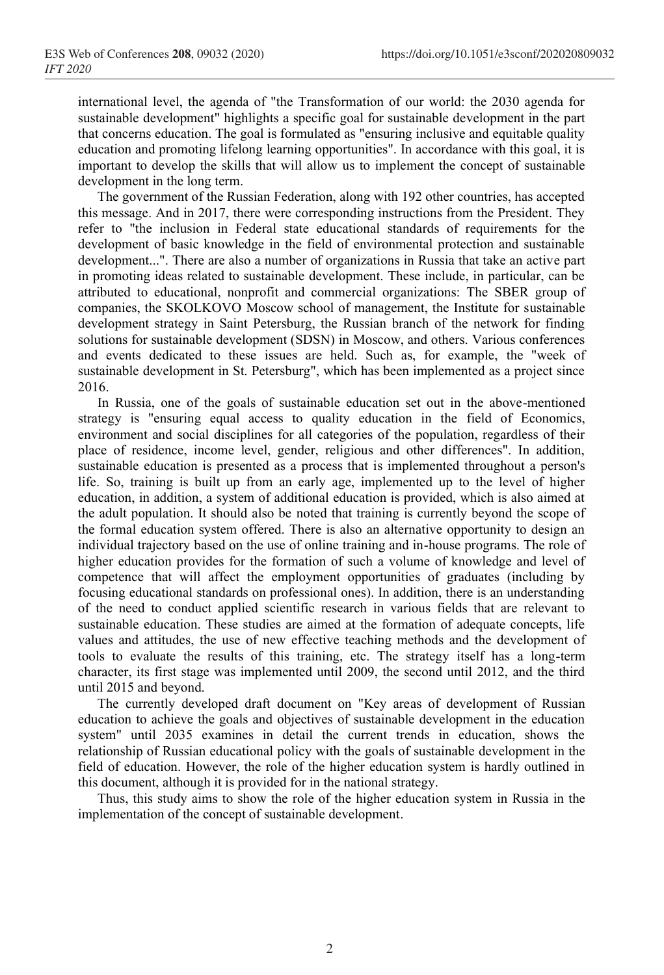international level, the agenda of "the Transformation of our world: the 2030 agenda for sustainable development" highlights a specific goal for sustainable development in the part that concerns education. The goal is formulated as "ensuring inclusive and equitable quality education and promoting lifelong learning opportunities". In accordance with this goal, it is important to develop the skills that will allow us to implement the concept of sustainable development in the long term.

The government of the Russian Federation, along with 192 other countries, has accepted this message. And in 2017, there were corresponding instructions from the President. They refer to "the inclusion in Federal state educational standards of requirements for the development of basic knowledge in the field of environmental protection and sustainable development...". There are also a number of organizations in Russia that take an active part in promoting ideas related to sustainable development. These include, in particular, can be attributed to educational, nonprofit and commercial organizations: The SBER group of companies, the SKOLKOVO Moscow school of management, the Institute for sustainable development strategy in Saint Petersburg, the Russian branch of the network for finding solutions for sustainable development (SDSN) in Moscow, and others. Various conferences and events dedicated to these issues are held. Such as, for example, the "week of sustainable development in St. Petersburg", which has been implemented as a project since 2016.

In Russia, one of the goals of sustainable education set out in the above-mentioned strategy is "ensuring equal access to quality education in the field of Economics, environment and social disciplines for all categories of the population, regardless of their place of residence, income level, gender, religious and other differences". In addition, sustainable education is presented as a process that is implemented throughout a person's life. So, training is built up from an early age, implemented up to the level of higher education, in addition, a system of additional education is provided, which is also aimed at the adult population. It should also be noted that training is currently beyond the scope of the formal education system offered. There is also an alternative opportunity to design an individual trajectory based on the use of online training and in-house programs. The role of higher education provides for the formation of such a volume of knowledge and level of competence that will affect the employment opportunities of graduates (including by focusing educational standards on professional ones). In addition, there is an understanding of the need to conduct applied scientific research in various fields that are relevant to sustainable education. These studies are aimed at the formation of adequate concepts, life values and attitudes, the use of new effective teaching methods and the development of tools to evaluate the results of this training, etc. The strategy itself has a long-term character, its first stage was implemented until 2009, the second until 2012, and the third until 2015 and beyond.

The currently developed draft document on "Key areas of development of Russian education to achieve the goals and objectives of sustainable development in the education system" until 2035 examines in detail the current trends in education, shows the relationship of Russian educational policy with the goals of sustainable development in the field of education. However, the role of the higher education system is hardly outlined in this document, although it is provided for in the national strategy.

Thus, this study aims to show the role of the higher education system in Russia in the implementation of the concept of sustainable development.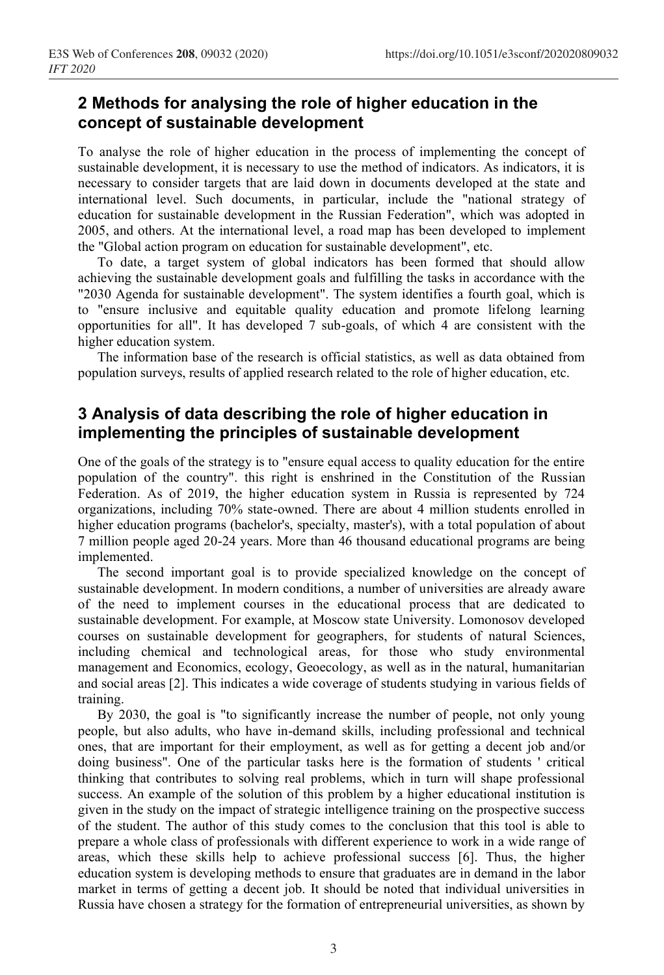# **2 Methods for analysing the role of higher education in the concept of sustainable development**

To analyse the role of higher education in the process of implementing the concept of sustainable development, it is necessary to use the method of indicators. As indicators, it is necessary to consider targets that are laid down in documents developed at the state and international level. Such documents, in particular, include the "national strategy of education for sustainable development in the Russian Federation", which was adopted in 2005, and others. At the international level, a road map has been developed to implement the "Global action program on education for sustainable development", etc.

To date, a target system of global indicators has been formed that should allow achieving the sustainable development goals and fulfilling the tasks in accordance with the "2030 Agenda for sustainable development". The system identifies a fourth goal, which is to "ensure inclusive and equitable quality education and promote lifelong learning opportunities for all". It has developed 7 sub-goals, of which 4 are consistent with the higher education system.

The information base of the research is official statistics, as well as data obtained from population surveys, results of applied research related to the role of higher education, etc.

# **3 Analysis of data describing the role of higher education in implementing the principles of sustainable development**

One of the goals of the strategy is to "ensure equal access to quality education for the entire population of the country". this right is enshrined in the Constitution of the Russian Federation. As of 2019, the higher education system in Russia is represented by 724 organizations, including 70% state-owned. There are about 4 million students enrolled in higher education programs (bachelor's, specialty, master's), with a total population of about 7 million people aged 20-24 years. More than 46 thousand educational programs are being implemented.

The second important goal is to provide specialized knowledge on the concept of sustainable development. In modern conditions, a number of universities are already aware of the need to implement courses in the educational process that are dedicated to sustainable development. For example, at Moscow state University. Lomonosov developed courses on sustainable development for geographers, for students of natural Sciences, including chemical and technological areas, for those who study environmental management and Economics, ecology, Geoecology, as well as in the natural, humanitarian and social areas [2]. This indicates a wide coverage of students studying in various fields of training.

By 2030, the goal is "to significantly increase the number of people, not only young people, but also adults, who have in-demand skills, including professional and technical ones, that are important for their employment, as well as for getting a decent job and/or doing business". One of the particular tasks here is the formation of students ' critical thinking that contributes to solving real problems, which in turn will shape professional success. An example of the solution of this problem by a higher educational institution is given in the study on the impact of strategic intelligence training on the prospective success of the student. The author of this study comes to the conclusion that this tool is able to prepare a whole class of professionals with different experience to work in a wide range of areas, which these skills help to achieve professional success [6]. Thus, the higher education system is developing methods to ensure that graduates are in demand in the labor market in terms of getting a decent job. It should be noted that individual universities in Russia have chosen a strategy for the formation of entrepreneurial universities, as shown by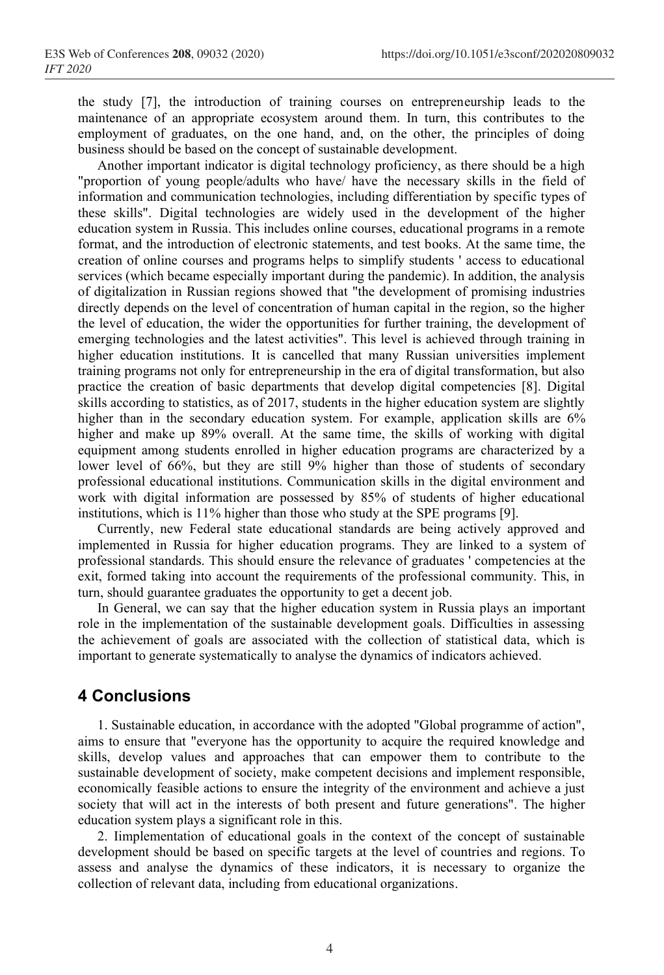the study [7], the introduction of training courses on entrepreneurship leads to the maintenance of an appropriate ecosystem around them. In turn, this contributes to the employment of graduates, on the one hand, and, on the other, the principles of doing business should be based on the concept of sustainable development.

Another important indicator is digital technology proficiency, as there should be a high "proportion of young people/adults who have/ have the necessary skills in the field of information and communication technologies, including differentiation by specific types of these skills". Digital technologies are widely used in the development of the higher education system in Russia. This includes online courses, educational programs in a remote format, and the introduction of electronic statements, and test books. At the same time, the creation of online courses and programs helps to simplify students ' access to educational services (which became especially important during the pandemic). In addition, the analysis of digitalization in Russian regions showed that "the development of promising industries directly depends on the level of concentration of human capital in the region, so the higher the level of education, the wider the opportunities for further training, the development of emerging technologies and the latest activities". This level is achieved through training in higher education institutions. It is cancelled that many Russian universities implement training programs not only for entrepreneurship in the era of digital transformation, but also practice the creation of basic departments that develop digital competencies [8]. Digital skills according to statistics, as of 2017, students in the higher education system are slightly higher than in the secondary education system. For example, application skills are 6% higher and make up 89% overall. At the same time, the skills of working with digital equipment among students enrolled in higher education programs are characterized by a lower level of 66%, but they are still 9% higher than those of students of secondary professional educational institutions. Communication skills in the digital environment and work with digital information are possessed by 85% of students of higher educational institutions, which is 11% higher than those who study at the SPE programs [9].

Currently, new Federal state educational standards are being actively approved and implemented in Russia for higher education programs. They are linked to a system of professional standards. This should ensure the relevance of graduates ' competencies at the exit, formed taking into account the requirements of the professional community. This, in turn, should guarantee graduates the opportunity to get a decent job.

In General, we can say that the higher education system in Russia plays an important role in the implementation of the sustainable development goals. Difficulties in assessing the achievement of goals are associated with the collection of statistical data, which is important to generate systematically to analyse the dynamics of indicators achieved.

### **4 Conclusions**

1. Sustainable education, in accordance with the adopted "Global programme of action", aims to ensure that "everyone has the opportunity to acquire the required knowledge and skills, develop values and approaches that can empower them to contribute to the sustainable development of society, make competent decisions and implement responsible, economically feasible actions to ensure the integrity of the environment and achieve a just society that will act in the interests of both present and future generations". The higher education system plays a significant role in this.

2. Iimplementation of educational goals in the context of the concept of sustainable development should be based on specific targets at the level of countries and regions. To assess and analyse the dynamics of these indicators, it is necessary to organize the collection of relevant data, including from educational organizations.